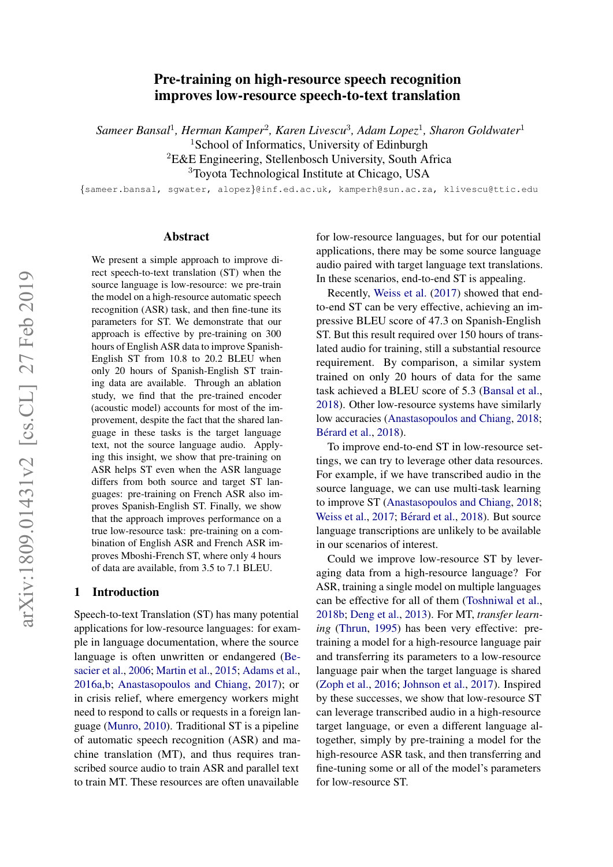# arXiv:1809.01431v2 [cs.CL] 27 Feb 2019 arXiv:1809.01431v2 [cs.CL] 27 Feb 2019

# Pre-training on high-resource speech recognition improves low-resource speech-to-text translation

 $\emph{Sameer Bansal}^{1}$ , *Herman Kamper<sup>2</sup>, Karen Livescu<sup>3</sup>, Adam Lopez<sup>1</sup>, Sharon Goldwater<sup>1</sup>* 

<sup>1</sup>School of Informatics, University of Edinburgh

<sup>2</sup>E&E Engineering, Stellenbosch University, South Africa

<sup>3</sup>Toyota Technological Institute at Chicago, USA

{sameer.bansal, sgwater, alopez}@inf.ed.ac.uk, kamperh@sun.ac.za, klivescu@ttic.edu

#### Abstract

We present a simple approach to improve direct speech-to-text translation (ST) when the source language is low-resource: we pre-train the model on a high-resource automatic speech recognition (ASR) task, and then fine-tune its parameters for ST. We demonstrate that our approach is effective by pre-training on 300 hours of English ASR data to improve Spanish-English ST from 10.8 to 20.2 BLEU when only 20 hours of Spanish-English ST training data are available. Through an ablation study, we find that the pre-trained encoder (acoustic model) accounts for most of the improvement, despite the fact that the shared language in these tasks is the target language text, not the source language audio. Applying this insight, we show that pre-training on ASR helps ST even when the ASR language differs from both source and target ST languages: pre-training on French ASR also improves Spanish-English ST. Finally, we show that the approach improves performance on a true low-resource task: pre-training on a combination of English ASR and French ASR improves Mboshi-French ST, where only 4 hours of data are available, from 3.5 to 7.1 BLEU.

#### 1 Introduction

Speech-to-text Translation (ST) has many potential applications for low-resource languages: for example in language documentation, where the source language is often unwritten or endangered [\(Be](#page-8-0)[sacier et al.,](#page-8-0) [2006;](#page-8-0) [Martin et al.,](#page-9-0) [2015;](#page-9-0) [Adams et al.,](#page-8-1) [2016a](#page-8-1)[,b;](#page-8-2) [Anastasopoulos and Chiang,](#page-8-3) [2017\)](#page-8-3); or in crisis relief, where emergency workers might need to respond to calls or requests in a foreign language [\(Munro,](#page-9-1) [2010\)](#page-9-1). Traditional ST is a pipeline of automatic speech recognition (ASR) and machine translation (MT), and thus requires transcribed source audio to train ASR and parallel text to train MT. These resources are often unavailable for low-resource languages, but for our potential applications, there may be some source language audio paired with target language text translations. In these scenarios, end-to-end ST is appealing.

Recently, [Weiss et al.](#page-9-2) [\(2017\)](#page-9-2) showed that endto-end ST can be very effective, achieving an impressive BLEU score of 47.3 on Spanish-English ST. But this result required over 150 hours of translated audio for training, still a substantial resource requirement. By comparison, a similar system trained on only 20 hours of data for the same task achieved a BLEU score of 5.3 [\(Bansal et al.,](#page-8-4) [2018\)](#page-8-4). Other low-resource systems have similarly low accuracies [\(Anastasopoulos and Chiang,](#page-8-5) [2018;](#page-8-5) Bérard et al., [2018\)](#page-8-6).

To improve end-to-end ST in low-resource settings, we can try to leverage other data resources. For example, if we have transcribed audio in the source language, we can use multi-task learning to improve ST [\(Anastasopoulos and Chiang,](#page-8-5) [2018;](#page-8-5) [Weiss et al.,](#page-9-2) [2017;](#page-9-2) Bérard et al., [2018\)](#page-8-6). But source language transcriptions are unlikely to be available in our scenarios of interest.

Could we improve low-resource ST by leveraging data from a high-resource language? For ASR, training a single model on multiple languages can be effective for all of them [\(Toshniwal et al.,](#page-9-3) [2018b;](#page-9-3) [Deng et al.,](#page-8-7) [2013\)](#page-8-7). For MT, *transfer learning* [\(Thrun,](#page-9-4) [1995\)](#page-9-4) has been very effective: pretraining a model for a high-resource language pair and transferring its parameters to a low-resource language pair when the target language is shared [\(Zoph et al.,](#page-9-5) [2016;](#page-9-5) [Johnson et al.,](#page-8-8) [2017\)](#page-8-8). Inspired by these successes, we show that low-resource ST can leverage transcribed audio in a high-resource target language, or even a different language altogether, simply by pre-training a model for the high-resource ASR task, and then transferring and fine-tuning some or all of the model's parameters for low-resource ST.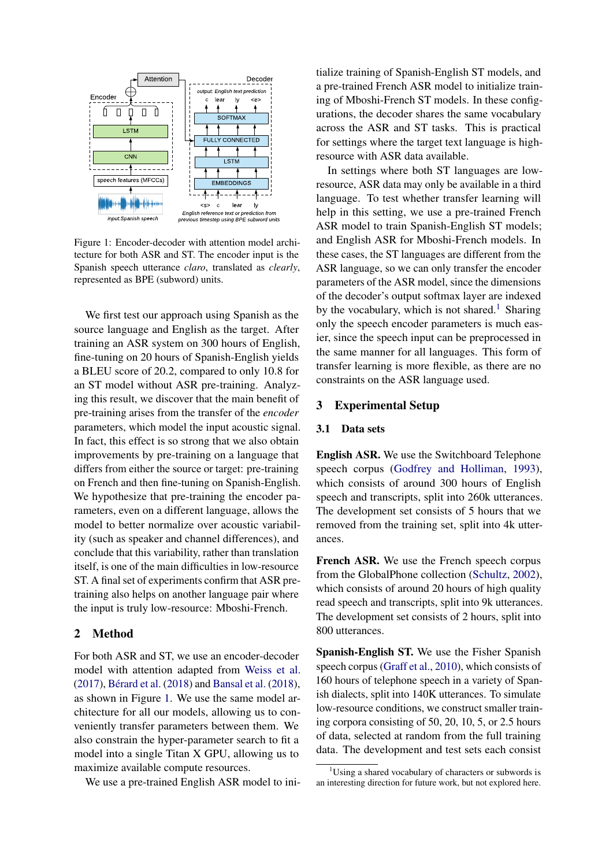<span id="page-1-0"></span>

Figure 1: Encoder-decoder with attention model architecture for both ASR and ST. The encoder input is the Spanish speech utterance *claro*, translated as *clearly*, represented as BPE (subword) units.

We first test our approach using Spanish as the source language and English as the target. After training an ASR system on 300 hours of English, fine-tuning on 20 hours of Spanish-English yields a BLEU score of 20.2, compared to only 10.8 for an ST model without ASR pre-training. Analyzing this result, we discover that the main benefit of pre-training arises from the transfer of the *encoder* parameters, which model the input acoustic signal. In fact, this effect is so strong that we also obtain improvements by pre-training on a language that differs from either the source or target: pre-training on French and then fine-tuning on Spanish-English. We hypothesize that pre-training the encoder parameters, even on a different language, allows the model to better normalize over acoustic variability (such as speaker and channel differences), and conclude that this variability, rather than translation itself, is one of the main difficulties in low-resource ST. A final set of experiments confirm that ASR pretraining also helps on another language pair where the input is truly low-resource: Mboshi-French.

#### 2 Method

For both ASR and ST, we use an encoder-decoder model with attention adapted from [Weiss et al.](#page-9-2)  $(2017)$ , Bérard et al.  $(2018)$  and [Bansal et al.](#page-8-4)  $(2018)$ , as shown in Figure [1.](#page-1-0) We use the same model architecture for all our models, allowing us to conveniently transfer parameters between them. We also constrain the hyper-parameter search to fit a model into a single Titan X GPU, allowing us to maximize available compute resources.

We use a pre-trained English ASR model to ini-

tialize training of Spanish-English ST models, and a pre-trained French ASR model to initialize training of Mboshi-French ST models. In these configurations, the decoder shares the same vocabulary across the ASR and ST tasks. This is practical for settings where the target text language is highresource with ASR data available.

In settings where both ST languages are lowresource, ASR data may only be available in a third language. To test whether transfer learning will help in this setting, we use a pre-trained French ASR model to train Spanish-English ST models; and English ASR for Mboshi-French models. In these cases, the ST languages are different from the ASR language, so we can only transfer the encoder parameters of the ASR model, since the dimensions of the decoder's output softmax layer are indexed by the vocabulary, which is not shared.<sup>[1](#page-1-1)</sup> Sharing only the speech encoder parameters is much easier, since the speech input can be preprocessed in the same manner for all languages. This form of transfer learning is more flexible, as there are no constraints on the ASR language used.

#### <span id="page-1-2"></span>3 Experimental Setup

#### 3.1 Data sets

English ASR. We use the Switchboard Telephone speech corpus [\(Godfrey and Holliman,](#page-8-9) [1993\)](#page-8-9), which consists of around 300 hours of English speech and transcripts, split into 260k utterances. The development set consists of 5 hours that we removed from the training set, split into 4k utterances.

French ASR. We use the French speech corpus from the GlobalPhone collection [\(Schultz,](#page-9-6) [2002\)](#page-9-6), which consists of around 20 hours of high quality read speech and transcripts, split into 9k utterances. The development set consists of 2 hours, split into 800 utterances.

Spanish-English ST. We use the Fisher Spanish speech corpus [\(Graff et al.,](#page-8-10) [2010\)](#page-8-10), which consists of 160 hours of telephone speech in a variety of Spanish dialects, split into 140K utterances. To simulate low-resource conditions, we construct smaller training corpora consisting of 50, 20, 10, 5, or 2.5 hours of data, selected at random from the full training data. The development and test sets each consist

<span id="page-1-1"></span> $1$ Using a shared vocabulary of characters or subwords is an interesting direction for future work, but not explored here.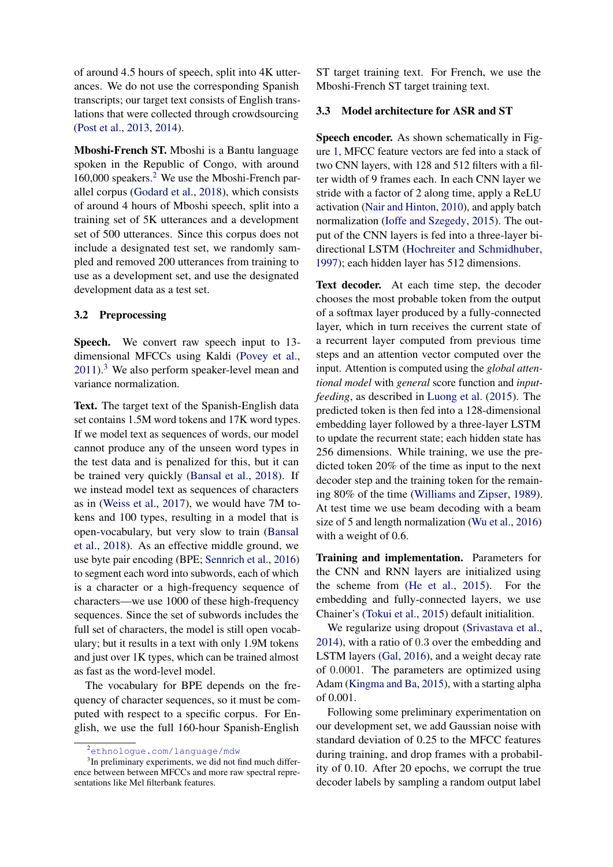of around 4.5 hours of speech, split into 4K utterances. We do not use the corresponding Spanish transcripts; our target text consists of English translations that were collected through crowdsourcing [\(Post et al.,](#page-9-7) [2013,](#page-9-7) [2014\)](#page-9-8).

Mboshi-French ST. Mboshi is a Bantu language spoken in the Republic of Congo, with around 160,000 speakers.<sup>[2](#page-2-0)</sup> We use the Mboshi-French parallel corpus [\(Godard et al.,](#page-8-11) [2018\)](#page-8-11), which consists of around 4 hours of Mboshi speech, split into a training set of 5K utterances and a development set of 500 utterances. Since this corpus does not include a designated test set, we randomly sampled and removed 200 utterances from training to use as a development set, and use the designated development data as a test set.

### 3.2 Preprocessing

Speech. We convert raw speech input to 13dimensional MFCCs using Kaldi [\(Povey et al.,](#page-9-9)  $2011$ ).<sup>[3](#page-2-1)</sup> We also perform speaker-level mean and variance normalization.

Text. The target text of the Spanish-English data set contains 1.5M word tokens and 17K word types. If we model text as sequences of words, our model cannot produce any of the unseen word types in the test data and is penalized for this, but it can be trained very quickly [\(Bansal et al.,](#page-8-4) [2018\)](#page-8-4). If we instead model text as sequences of characters as in [\(Weiss et al.,](#page-9-2) [2017\)](#page-9-2), we would have 7M tokens and 100 types, resulting in a model that is open-vocabulary, but very slow to train [\(Bansal](#page-8-4) [et al.,](#page-8-4) [2018\)](#page-8-4). As an effective middle ground, we use byte pair encoding (BPE; [Sennrich et al.,](#page-9-10) [2016\)](#page-9-10) to segment each word into subwords, each of which is a character or a high-frequency sequence of characters—we use 1000 of these high-frequency sequences. Since the set of subwords includes the full set of characters, the model is still open vocabulary; but it results in a text with only 1.9M tokens and just over 1K types, which can be trained almost as fast as the word-level model.

The vocabulary for BPE depends on the frequency of character sequences, so it must be computed with respect to a specific corpus. For English, we use the full 160-hour Spanish-English

ST target training text. For French, we use the Mboshi-French ST target training text.

#### 3.3 Model architecture for ASR and ST

Speech encoder. As shown schematically in Figure [1,](#page-1-0) MFCC feature vectors are fed into a stack of two CNN layers, with 128 and 512 filters with a filter width of 9 frames each. In each CNN layer we stride with a factor of 2 along time, apply a ReLU activation [\(Nair and Hinton,](#page-9-11) [2010\)](#page-9-11), and apply batch normalization [\(Ioffe and Szegedy,](#page-8-12) [2015\)](#page-8-12). The output of the CNN layers is fed into a three-layer bidirectional LSTM [\(Hochreiter and Schmidhuber,](#page-8-13) [1997\)](#page-8-13); each hidden layer has 512 dimensions.

Text decoder. At each time step, the decoder chooses the most probable token from the output of a softmax layer produced by a fully-connected layer, which in turn receives the current state of a recurrent layer computed from previous time steps and an attention vector computed over the input. Attention is computed using the *global attentional model* with *general* score function and *inputfeeding*, as described in [Luong et al.](#page-9-12) [\(2015\)](#page-9-12). The predicted token is then fed into a 128-dimensional embedding layer followed by a three-layer LSTM to update the recurrent state; each hidden state has 256 dimensions. While training, we use the predicted token 20% of the time as input to the next decoder step and the training token for the remaining 80% of the time [\(Williams and Zipser,](#page-9-13) [1989\)](#page-9-13). At test time we use beam decoding with a beam size of 5 and length normalization [\(Wu et al.,](#page-9-14) [2016\)](#page-9-14) with a weight of 0.6.

Training and implementation. Parameters for the CNN and RNN layers are initialized using the scheme from [\(He et al.,](#page-8-14) [2015\)](#page-8-14). For the embedding and fully-connected layers, we use Chainer's [\(Tokui et al.,](#page-9-15) [2015\)](#page-9-15) default initialition.

We regularize using dropout [\(Srivastava et al.,](#page-9-16) [2014\)](#page-9-16), with a ratio of 0.3 over the embedding and LSTM layers [\(Gal,](#page-8-15) [2016\)](#page-8-15), and a weight decay rate of 0.0001. The parameters are optimized using Adam [\(Kingma and Ba,](#page-8-16) [2015\)](#page-8-16), with a starting alpha of 0.001.

Following some preliminary experimentation on our development set, we add Gaussian noise with standard deviation of 0.25 to the MFCC features during training, and drop frames with a probability of 0.10. After 20 epochs, we corrupt the true decoder labels by sampling a random output label

<span id="page-2-1"></span><span id="page-2-0"></span><sup>2</sup><ethnologue.com/language/mdw>

<sup>&</sup>lt;sup>3</sup>In preliminary experiments, we did not find much difference between between MFCCs and more raw spectral representations like Mel filterbank features.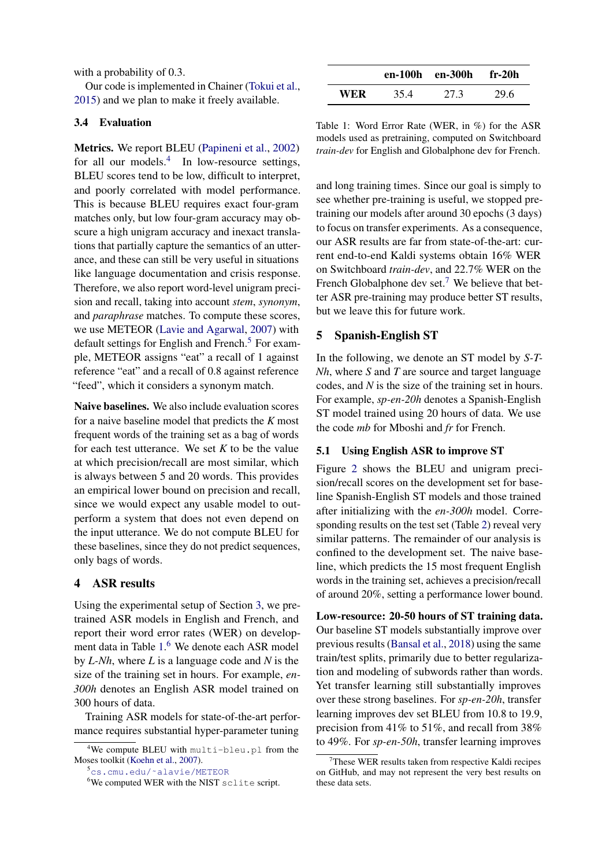with a probability of 0.3.

Our code is implemented in Chainer [\(Tokui et al.,](#page-9-15) [2015\)](#page-9-15) and we plan to make it freely available.

#### 3.4 Evaluation

Metrics. We report BLEU [\(Papineni et al.,](#page-9-17) [2002\)](#page-9-17) for all our models. $4$  In low-resource settings, BLEU scores tend to be low, difficult to interpret, and poorly correlated with model performance. This is because BLEU requires exact four-gram matches only, but low four-gram accuracy may obscure a high unigram accuracy and inexact translations that partially capture the semantics of an utterance, and these can still be very useful in situations like language documentation and crisis response. Therefore, we also report word-level unigram precision and recall, taking into account *stem*, *synonym*, and *paraphrase* matches. To compute these scores, we use METEOR [\(Lavie and Agarwal,](#page-8-17) [2007\)](#page-8-17) with default settings for English and French.<sup>[5](#page-3-1)</sup> For example, METEOR assigns "eat" a recall of 1 against reference "eat" and a recall of 0.8 against reference "feed", which it considers a synonym match.

Naive baselines. We also include evaluation scores for a naive baseline model that predicts the *K* most frequent words of the training set as a bag of words for each test utterance. We set *K* to be the value at which precision/recall are most similar, which is always between 5 and 20 words. This provides an empirical lower bound on precision and recall, since we would expect any usable model to outperform a system that does not even depend on the input utterance. We do not compute BLEU for these baselines, since they do not predict sequences, only bags of words.

#### 4 ASR results

Using the experimental setup of Section [3,](#page-1-2) we pretrained ASR models in English and French, and report their word error rates (WER) on development data in Table [1.](#page-3-2) [6](#page-3-3) We denote each ASR model by *L-Nh*, where *L* is a language code and *N* is the size of the training set in hours. For example, *en-300h* denotes an English ASR model trained on 300 hours of data.

Training ASR models for state-of-the-art performance requires substantial hyper-parameter tuning

<span id="page-3-2"></span>

|     |      | en-100h en-300h fr-20h |      |
|-----|------|------------------------|------|
| WER | 35.4 | 27.3                   | 29.6 |

Table 1: Word Error Rate (WER, in %) for the ASR models used as pretraining, computed on Switchboard *train-dev* for English and Globalphone dev for French.

and long training times. Since our goal is simply to see whether pre-training is useful, we stopped pretraining our models after around 30 epochs (3 days) to focus on transfer experiments. As a consequence, our ASR results are far from state-of-the-art: current end-to-end Kaldi systems obtain 16% WER on Switchboard *train-dev*, and 22.7% WER on the French Globalphone dev set.<sup>[7](#page-3-4)</sup> We believe that better ASR pre-training may produce better ST results, but we leave this for future work.

# 5 Spanish-English ST

In the following, we denote an ST model by *S-T-Nh*, where *S* and *T* are source and target language codes, and *N* is the size of the training set in hours. For example, *sp-en-20h* denotes a Spanish-English ST model trained using 20 hours of data. We use the code *mb* for Mboshi and *fr* for French.

#### 5.1 Using English ASR to improve ST

Figure [2](#page-4-0) shows the BLEU and unigram precision/recall scores on the development set for baseline Spanish-English ST models and those trained after initializing with the *en-300h* model. Corresponding results on the test set (Table [2\)](#page-4-1) reveal very similar patterns. The remainder of our analysis is confined to the development set. The naive baseline, which predicts the 15 most frequent English words in the training set, achieves a precision/recall of around 20%, setting a performance lower bound.

Low-resource: 20-50 hours of ST training data. Our baseline ST models substantially improve over previous results [\(Bansal et al.,](#page-8-4) [2018\)](#page-8-4) using the same train/test splits, primarily due to better regularization and modeling of subwords rather than words. Yet transfer learning still substantially improves over these strong baselines. For *sp-en-20h*, transfer learning improves dev set BLEU from 10.8 to 19.9, precision from 41% to 51%, and recall from 38% to 49%. For *sp-en-50h*, transfer learning improves

<span id="page-3-0"></span><sup>4</sup>We compute BLEU with multi-bleu.pl from the Moses toolkit [\(Koehn et al.,](#page-8-18) [2007\)](#page-8-18).

<span id="page-3-1"></span><sup>5</sup>[cs.cmu.edu/˜alavie/METEOR](cs.cmu.edu/~alavie/METEOR)

<span id="page-3-3"></span><sup>&</sup>lt;sup>6</sup>We computed WER with the NIST sclite script.

<span id="page-3-4"></span> $7$ These WER results taken from respective Kaldi recipes on GitHub, and may not represent the very best results on these data sets.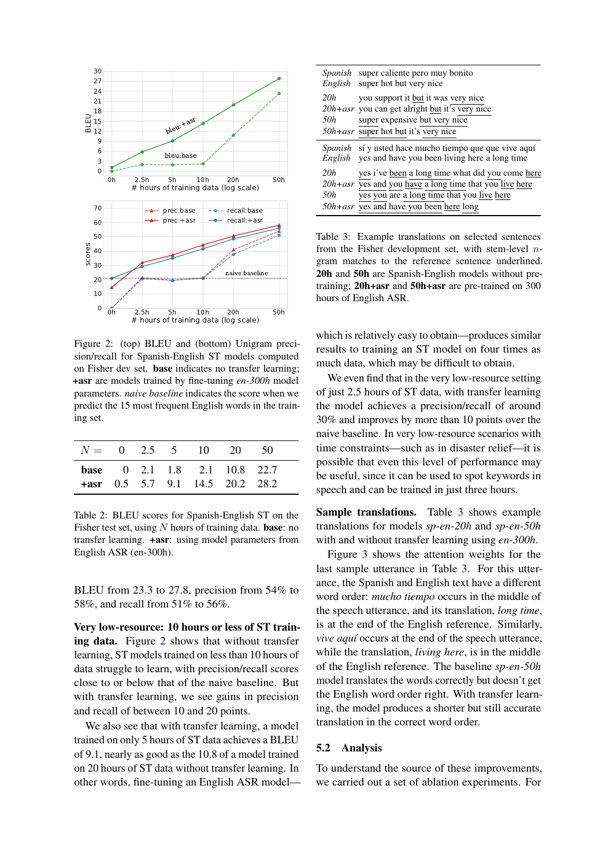<span id="page-4-0"></span>

Figure 2: (top) BLEU and (bottom) Unigram precision/recall for Spanish-English ST models computed on Fisher dev set. base indicates no transfer learning; +asr are models trained by fine-tuning *en-300h* model parameters. *naive baseline* indicates the score when we predict the 15 most frequent English words in the training set.

<span id="page-4-1"></span>

|  |  | $N = 0$ 2.5 5 10 20 |                                                                           | -50 |  |
|--|--|---------------------|---------------------------------------------------------------------------|-----|--|
|  |  |                     | <b>base</b> 0 2.1 1.8 2.1 10.8 22.7<br>$+$ asr 0.5 5.7 9.1 14.5 20.2 28.2 |     |  |

Table 2: BLEU scores for Spanish-English ST on the Fisher test set, using  $N$  hours of training data. **base**: no transfer learning. +asr: using model parameters from English ASR (en-300h).

BLEU from 23.3 to 27.8, precision from 54% to 58%, and recall from 51% to 56%.

Very low-resource: 10 hours or less of ST training data. Figure [2](#page-4-0) shows that without transfer learning, ST models trained on less than 10 hours of data struggle to learn, with precision/recall scores close to or below that of the naive baseline. But with transfer learning, we see gains in precision and recall of between 10 and 20 points.

We also see that with transfer learning, a model trained on only 5 hours of ST data achieves a BLEU of 9.1, nearly as good as the 10.8 of a model trained on 20 hours of ST data without transfer learning. In other words, fine-tuning an English ASR model—

<span id="page-4-2"></span>

|            | <i>Spanish</i> super caliente pero muy bonito<br><i>English</i> super hot but very nice                                                                                                                      |
|------------|--------------------------------------------------------------------------------------------------------------------------------------------------------------------------------------------------------------|
| 20h<br>50h | you support it but it was very nice<br>$20h + asr$ you can get alright but it's very nice<br>super expensive but very nice<br>$50h + asr$ super hot but it's very nice                                       |
|            | Spanish sí y usted hace mucho tiempo que que vive aquí<br><i>English</i> yes and have you been living here a long time                                                                                       |
| 20h<br>50h | yes i've been a long time what did you come here<br>$20h + asr$ yes and you have a long time that you live here<br>yes you are a long time that you live here<br>$50h + asr$ yes and have you been here long |

Table 3: Example translations on selected sentences from the Fisher development set, with stem-level  $n$ gram matches to the reference sentence underlined. 20h and 50h are Spanish-English models without pretraining; 20h+asr and 50h+asr are pre-trained on 300 hours of English ASR.

which is relatively easy to obtain—produces similar results to training an ST model on four times as much data, which may be difficult to obtain.

We even find that in the very low-resource setting of just 2.5 hours of ST data, with transfer learning the model achieves a precision/recall of around 30% and improves by more than 10 points over the naive baseline. In very low-resource scenarios with time constraints—such as in disaster relief—it is possible that even this level of performance may be useful, since it can be used to spot keywords in speech and can be trained in just three hours.

Sample translations. Table [3](#page-4-2) shows example translations for models *sp-en-20h* and *sp-en-50h* with and without transfer learning using *en-300h*.

Figure [3](#page-5-0) shows the attention weights for the last sample utterance in Table [3.](#page-4-2) For this utterance, the Spanish and English text have a different word order: *mucho tiempo* occurs in the middle of the speech utterance, and its translation, *long time*, is at the end of the English reference. Similarly, *vive aquí* occurs at the end of the speech utterance, while the translation, *living here*, is in the middle of the English reference. The baseline *sp-en-50h* model translates the words correctly but doesn't get the English word order right. With transfer learning, the model produces a shorter but still accurate translation in the correct word order.

#### 5.2 Analysis

To understand the source of these improvements, we carried out a set of ablation experiments. For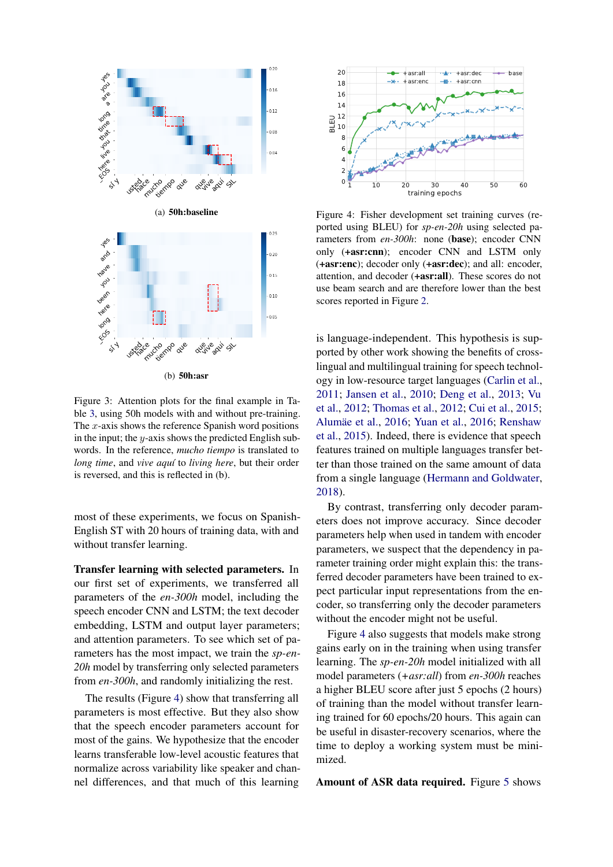<span id="page-5-0"></span>

Figure 3: Attention plots for the final example in Table [3,](#page-4-2) using 50h models with and without pre-training. The  $x$ -axis shows the reference Spanish word positions in the input; the  $y$ -axis shows the predicted English subwords. In the reference, *mucho tiempo* is translated to *long time*, and *vive aquí* to *living here*, but their order is reversed, and this is reflected in (b).

most of these experiments, we focus on Spanish-English ST with 20 hours of training data, with and without transfer learning.

Transfer learning with selected parameters. In our first set of experiments, we transferred all parameters of the *en-300h* model, including the speech encoder CNN and LSTM; the text decoder embedding, LSTM and output layer parameters; and attention parameters. To see which set of parameters has the most impact, we train the *sp-en-20h* model by transferring only selected parameters from *en-300h*, and randomly initializing the rest.

The results (Figure [4\)](#page-5-1) show that transferring all parameters is most effective. But they also show that the speech encoder parameters account for most of the gains. We hypothesize that the encoder learns transferable low-level acoustic features that normalize across variability like speaker and channel differences, and that much of this learning

<span id="page-5-1"></span>

Figure 4: Fisher development set training curves (reported using BLEU) for *sp-en-20h* using selected parameters from *en-300h*: none (base); encoder CNN only (+asr:cnn); encoder CNN and LSTM only (+asr:enc); decoder only (+asr:dec); and all: encoder, attention, and decoder (+asr:all). These scores do not use beam search and are therefore lower than the best scores reported in Figure [2.](#page-4-0)

is language-independent. This hypothesis is supported by other work showing the benefits of crosslingual and multilingual training for speech technology in low-resource target languages [\(Carlin et al.,](#page-8-19) [2011;](#page-8-19) [Jansen et al.,](#page-8-20) [2010;](#page-8-20) [Deng et al.,](#page-8-7) [2013;](#page-8-7) [Vu](#page-9-18) [et al.,](#page-9-18) [2012;](#page-9-18) [Thomas et al.,](#page-9-19) [2012;](#page-9-19) [Cui et al.,](#page-8-21) [2015;](#page-8-21) Alumäe et al., [2016;](#page-9-20) [Yuan et al.,](#page-9-20) 2016; [Renshaw](#page-9-21) [et al.,](#page-9-21) [2015\)](#page-9-21). Indeed, there is evidence that speech features trained on multiple languages transfer better than those trained on the same amount of data from a single language [\(Hermann and Goldwater,](#page-8-23) [2018\)](#page-8-23).

By contrast, transferring only decoder parameters does not improve accuracy. Since decoder parameters help when used in tandem with encoder parameters, we suspect that the dependency in parameter training order might explain this: the transferred decoder parameters have been trained to expect particular input representations from the encoder, so transferring only the decoder parameters without the encoder might not be useful.

Figure [4](#page-5-1) also suggests that models make strong gains early on in the training when using transfer learning. The *sp-en-20h* model initialized with all model parameters (*+asr:all*) from *en-300h* reaches a higher BLEU score after just 5 epochs (2 hours) of training than the model without transfer learning trained for 60 epochs/20 hours. This again can be useful in disaster-recovery scenarios, where the time to deploy a working system must be minimized.

Amount of ASR data required. Figure [5](#page-6-0) shows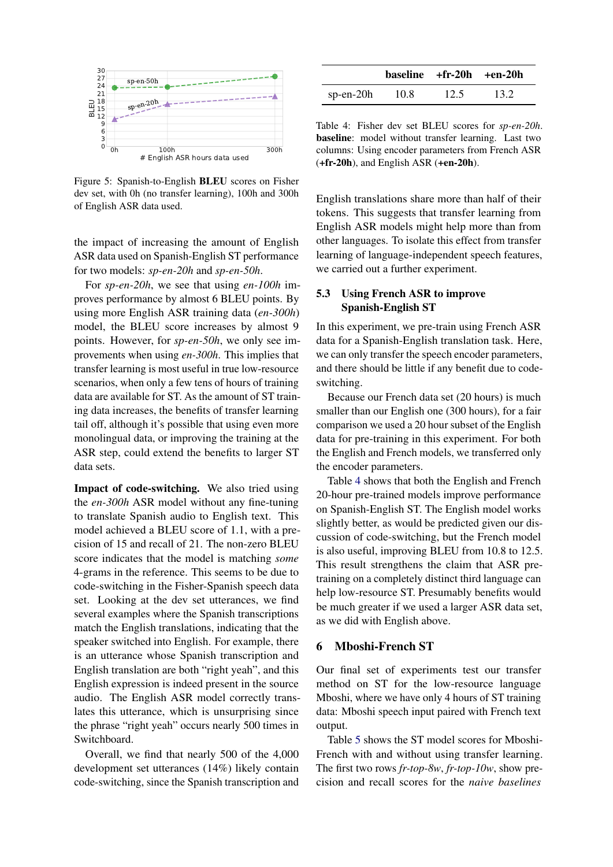<span id="page-6-0"></span>

Figure 5: Spanish-to-English BLEU scores on Fisher dev set, with 0h (no transfer learning), 100h and 300h of English ASR data used.

the impact of increasing the amount of English ASR data used on Spanish-English ST performance for two models: *sp-en-20h* and *sp-en-50h*.

For *sp-en-20h*, we see that using *en-100h* improves performance by almost 6 BLEU points. By using more English ASR training data (*en-300h*) model, the BLEU score increases by almost 9 points. However, for *sp-en-50h*, we only see improvements when using *en-300h*. This implies that transfer learning is most useful in true low-resource scenarios, when only a few tens of hours of training data are available for ST. As the amount of ST training data increases, the benefits of transfer learning tail off, although it's possible that using even more monolingual data, or improving the training at the ASR step, could extend the benefits to larger ST data sets.

Impact of code-switching. We also tried using the *en-300h* ASR model without any fine-tuning to translate Spanish audio to English text. This model achieved a BLEU score of 1.1, with a precision of 15 and recall of 21. The non-zero BLEU score indicates that the model is matching *some* 4-grams in the reference. This seems to be due to code-switching in the Fisher-Spanish speech data set. Looking at the dev set utterances, we find several examples where the Spanish transcriptions match the English translations, indicating that the speaker switched into English. For example, there is an utterance whose Spanish transcription and English translation are both "right yeah", and this English expression is indeed present in the source audio. The English ASR model correctly translates this utterance, which is unsurprising since the phrase "right yeah" occurs nearly 500 times in Switchboard.

Overall, we find that nearly 500 of the 4,000 development set utterances (14%) likely contain code-switching, since the Spanish transcription and

<span id="page-6-1"></span>

|              |      | $baseline$ +fr-20h +en-20h |      |  |
|--------------|------|----------------------------|------|--|
| sp-en- $20h$ | 10.8 | 12.5                       | 13.2 |  |

Table 4: Fisher dev set BLEU scores for *sp-en-20h*. baseline: model without transfer learning. Last two columns: Using encoder parameters from French ASR (+fr-20h), and English ASR (+en-20h).

English translations share more than half of their tokens. This suggests that transfer learning from English ASR models might help more than from other languages. To isolate this effect from transfer learning of language-independent speech features, we carried out a further experiment.

# 5.3 Using French ASR to improve Spanish-English ST

In this experiment, we pre-train using French ASR data for a Spanish-English translation task. Here, we can only transfer the speech encoder parameters, and there should be little if any benefit due to codeswitching.

Because our French data set (20 hours) is much smaller than our English one (300 hours), for a fair comparison we used a 20 hour subset of the English data for pre-training in this experiment. For both the English and French models, we transferred only the encoder parameters.

Table [4](#page-6-1) shows that both the English and French 20-hour pre-trained models improve performance on Spanish-English ST. The English model works slightly better, as would be predicted given our discussion of code-switching, but the French model is also useful, improving BLEU from 10.8 to 12.5. This result strengthens the claim that ASR pretraining on a completely distinct third language can help low-resource ST. Presumably benefits would be much greater if we used a larger ASR data set, as we did with English above.

#### 6 Mboshi-French ST

Our final set of experiments test our transfer method on ST for the low-resource language Mboshi, where we have only 4 hours of ST training data: Mboshi speech input paired with French text output.

Table [5](#page-7-0) shows the ST model scores for Mboshi-French with and without using transfer learning. The first two rows *fr-top-8w*, *fr-top-10w*, show precision and recall scores for the *naive baselines*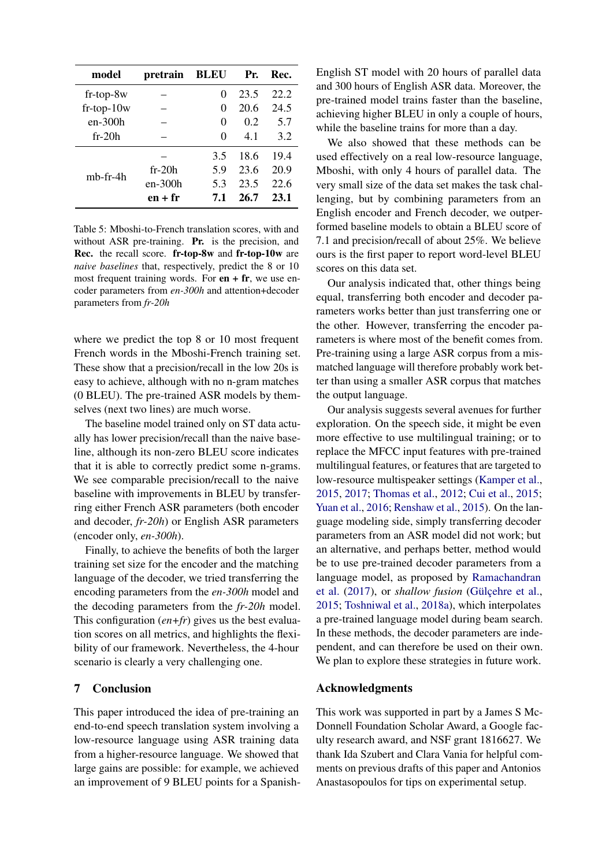<span id="page-7-0"></span>

| model          | pretrain  | <b>BLEU</b> | Pr.  | Rec. |
|----------------|-----------|-------------|------|------|
| $fr-top-8w$    |           | 0           | 23.5 | 22.2 |
| $fr-top-10w$   |           | 0           | 20.6 | 24.5 |
| $en-300h$      |           | 0           | 0.2  | 5.7  |
| $fr-20h$       |           | 0           | 41   | 3.2  |
|                |           | 3.5         | 18.6 | 19.4 |
| $mb$ -fr-4 $h$ | $fr-20h$  | 5.9         | 23.6 | 20.9 |
|                | en-300h   | 5.3         | 23.5 | 22.6 |
|                | $en + fr$ | 7.1         | 26.7 | 23.1 |

Table 5: Mboshi-to-French translation scores, with and without ASR pre-training. **Pr.** is the precision, and Rec. the recall score. fr-top-8w and fr-top-10w are *naive baselines* that, respectively, predict the 8 or 10 most frequent training words. For  $en + fr$ , we use encoder parameters from *en-300h* and attention+decoder parameters from *fr-20h*

where we predict the top 8 or 10 most frequent French words in the Mboshi-French training set. These show that a precision/recall in the low 20s is easy to achieve, although with no n-gram matches (0 BLEU). The pre-trained ASR models by themselves (next two lines) are much worse.

The baseline model trained only on ST data actually has lower precision/recall than the naive baseline, although its non-zero BLEU score indicates that it is able to correctly predict some n-grams. We see comparable precision/recall to the naive baseline with improvements in BLEU by transferring either French ASR parameters (both encoder and decoder, *fr-20h*) or English ASR parameters (encoder only, *en-300h*).

Finally, to achieve the benefits of both the larger training set size for the encoder and the matching language of the decoder, we tried transferring the encoding parameters from the *en-300h* model and the decoding parameters from the *fr-20h* model. This configuration (*en+fr*) gives us the best evaluation scores on all metrics, and highlights the flexibility of our framework. Nevertheless, the 4-hour scenario is clearly a very challenging one.

# 7 Conclusion

This paper introduced the idea of pre-training an end-to-end speech translation system involving a low-resource language using ASR training data from a higher-resource language. We showed that large gains are possible: for example, we achieved an improvement of 9 BLEU points for a Spanish-

English ST model with 20 hours of parallel data and 300 hours of English ASR data. Moreover, the pre-trained model trains faster than the baseline, achieving higher BLEU in only a couple of hours, while the baseline trains for more than a day.

We also showed that these methods can be used effectively on a real low-resource language, Mboshi, with only 4 hours of parallel data. The very small size of the data set makes the task challenging, but by combining parameters from an English encoder and French decoder, we outperformed baseline models to obtain a BLEU score of 7.1 and precision/recall of about 25%. We believe ours is the first paper to report word-level BLEU scores on this data set.

Our analysis indicated that, other things being equal, transferring both encoder and decoder parameters works better than just transferring one or the other. However, transferring the encoder parameters is where most of the benefit comes from. Pre-training using a large ASR corpus from a mismatched language will therefore probably work better than using a smaller ASR corpus that matches the output language.

Our analysis suggests several avenues for further exploration. On the speech side, it might be even more effective to use multilingual training; or to replace the MFCC input features with pre-trained multilingual features, or features that are targeted to low-resource multispeaker settings [\(Kamper et al.,](#page-8-24) [2015,](#page-8-24) [2017;](#page-8-25) [Thomas et al.,](#page-9-19) [2012;](#page-9-19) [Cui et al.,](#page-8-21) [2015;](#page-8-21) [Yuan et al.,](#page-9-20) [2016;](#page-9-20) [Renshaw et al.,](#page-9-21) [2015\)](#page-9-21). On the language modeling side, simply transferring decoder parameters from an ASR model did not work; but an alternative, and perhaps better, method would be to use pre-trained decoder parameters from a language model, as proposed by [Ramachandran](#page-9-22) [et al.](#page-9-22) [\(2017\)](#page-9-22), or *shallow fusion* (Gülçehre et al., [2015;](#page-8-26) [Toshniwal et al.,](#page-9-23) [2018a\)](#page-9-23), which interpolates a pre-trained language model during beam search. In these methods, the decoder parameters are independent, and can therefore be used on their own. We plan to explore these strategies in future work.

# Acknowledgments

This work was supported in part by a James S Mc-Donnell Foundation Scholar Award, a Google faculty research award, and NSF grant 1816627. We thank Ida Szubert and Clara Vania for helpful comments on previous drafts of this paper and Antonios Anastasopoulos for tips on experimental setup.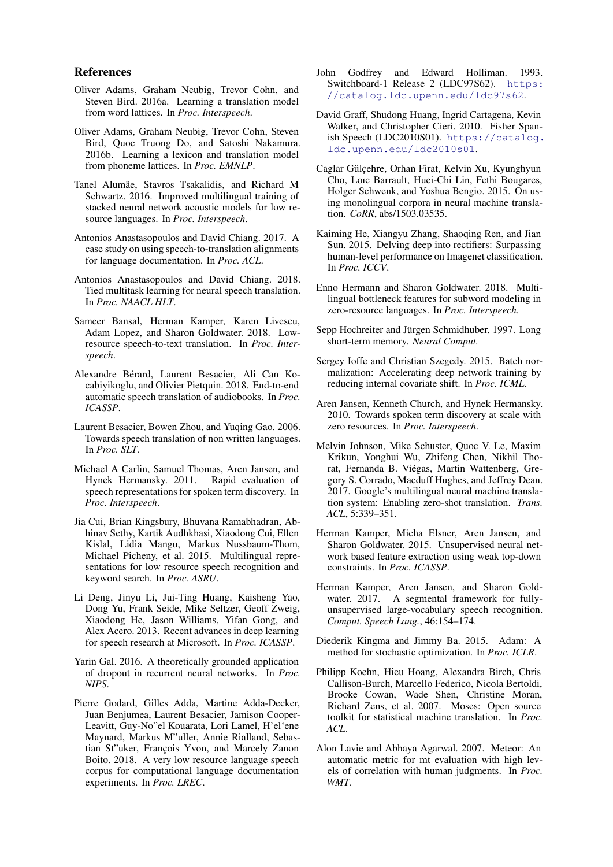#### References

- <span id="page-8-1"></span>Oliver Adams, Graham Neubig, Trevor Cohn, and Steven Bird. 2016a. Learning a translation model from word lattices. In *Proc. Interspeech*.
- <span id="page-8-2"></span>Oliver Adams, Graham Neubig, Trevor Cohn, Steven Bird, Quoc Truong Do, and Satoshi Nakamura. 2016b. Learning a lexicon and translation model from phoneme lattices. In *Proc. EMNLP*.
- <span id="page-8-22"></span>Tanel Alumäe, Stavros Tsakalidis, and Richard M Schwartz. 2016. Improved multilingual training of stacked neural network acoustic models for low resource languages. In *Proc. Interspeech*.
- <span id="page-8-3"></span>Antonios Anastasopoulos and David Chiang. 2017. A case study on using speech-to-translation alignments for language documentation. In *Proc. ACL*.
- <span id="page-8-5"></span>Antonios Anastasopoulos and David Chiang. 2018. Tied multitask learning for neural speech translation. In *Proc. NAACL HLT*.
- <span id="page-8-4"></span>Sameer Bansal, Herman Kamper, Karen Livescu, Adam Lopez, and Sharon Goldwater. 2018. Lowresource speech-to-text translation. In *Proc. Interspeech*.
- <span id="page-8-6"></span>Alexandre Berard, Laurent Besacier, Ali Can Ko- ´ cabiyikoglu, and Olivier Pietquin. 2018. End-to-end automatic speech translation of audiobooks. In *Proc. ICASSP*.
- <span id="page-8-0"></span>Laurent Besacier, Bowen Zhou, and Yuqing Gao. 2006. Towards speech translation of non written languages. In *Proc. SLT*.
- <span id="page-8-19"></span>Michael A Carlin, Samuel Thomas, Aren Jansen, and Hynek Hermansky. 2011. Rapid evaluation of speech representations for spoken term discovery. In *Proc. Interspeech*.
- <span id="page-8-21"></span>Jia Cui, Brian Kingsbury, Bhuvana Ramabhadran, Abhinav Sethy, Kartik Audhkhasi, Xiaodong Cui, Ellen Kislal, Lidia Mangu, Markus Nussbaum-Thom, Michael Picheny, et al. 2015. Multilingual representations for low resource speech recognition and keyword search. In *Proc. ASRU*.
- <span id="page-8-7"></span>Li Deng, Jinyu Li, Jui-Ting Huang, Kaisheng Yao, Dong Yu, Frank Seide, Mike Seltzer, Geoff Zweig, Xiaodong He, Jason Williams, Yifan Gong, and Alex Acero. 2013. Recent advances in deep learning for speech research at Microsoft. In *Proc. ICASSP*.
- <span id="page-8-15"></span>Yarin Gal. 2016. A theoretically grounded application of dropout in recurrent neural networks. In *Proc. NIPS*.
- <span id="page-8-11"></span>Pierre Godard, Gilles Adda, Martine Adda-Decker, Juan Benjumea, Laurent Besacier, Jamison Cooper-Leavitt, Guy-No"el Kouarata, Lori Lamel, H'el'ene Maynard, Markus M"uller, Annie Rialland, Sebastian St"uker, François Yvon, and Marcely Zanon Boito. 2018. A very low resource language speech corpus for computational language documentation experiments. In *Proc. LREC*.
- <span id="page-8-9"></span>John Godfrey and Edward Holliman. 1993. Switchboard-1 Release 2 (LDC97S62). [https:](https://catalog.ldc.upenn.edu/ldc97s62) [//catalog.ldc.upenn.edu/ldc97s62](https://catalog.ldc.upenn.edu/ldc97s62).
- <span id="page-8-10"></span>David Graff, Shudong Huang, Ingrid Cartagena, Kevin Walker, and Christopher Cieri. 2010. Fisher Spanish Speech (LDC2010S01). [https://catalog.](https://catalog.ldc.upenn.edu/ldc2010s01) [ldc.upenn.edu/ldc2010s01](https://catalog.ldc.upenn.edu/ldc2010s01).
- <span id="page-8-26"></span>Caglar Gülçehre, Orhan Firat, Kelvin Xu, Kyunghyun Cho, Loıc Barrault, Huei-Chi Lin, Fethi Bougares, Holger Schwenk, and Yoshua Bengio. 2015. On using monolingual corpora in neural machine translation. *CoRR*, abs/1503.03535.
- <span id="page-8-14"></span>Kaiming He, Xiangyu Zhang, Shaoqing Ren, and Jian Sun. 2015. Delving deep into rectifiers: Surpassing human-level performance on Imagenet classification. In *Proc. ICCV*.
- <span id="page-8-23"></span>Enno Hermann and Sharon Goldwater. 2018. Multilingual bottleneck features for subword modeling in zero-resource languages. In *Proc. Interspeech*.
- <span id="page-8-13"></span>Sepp Hochreiter and Jürgen Schmidhuber. 1997. Long short-term memory. *Neural Comput.*
- <span id="page-8-12"></span>Sergey Ioffe and Christian Szegedy. 2015. Batch normalization: Accelerating deep network training by reducing internal covariate shift. In *Proc. ICML*.
- <span id="page-8-20"></span>Aren Jansen, Kenneth Church, and Hynek Hermansky. 2010. Towards spoken term discovery at scale with zero resources. In *Proc. Interspeech*.
- <span id="page-8-8"></span>Melvin Johnson, Mike Schuster, Quoc V. Le, Maxim Krikun, Yonghui Wu, Zhifeng Chen, Nikhil Thorat, Fernanda B. Viegas, Martin Wattenberg, Gre- ´ gory S. Corrado, Macduff Hughes, and Jeffrey Dean. 2017. Google's multilingual neural machine translation system: Enabling zero-shot translation. *Trans. ACL*, 5:339–351.
- <span id="page-8-24"></span>Herman Kamper, Micha Elsner, Aren Jansen, and Sharon Goldwater. 2015. Unsupervised neural network based feature extraction using weak top-down constraints. In *Proc. ICASSP*.
- <span id="page-8-25"></span>Herman Kamper, Aren Jansen, and Sharon Goldwater. 2017. A segmental framework for fullyunsupervised large-vocabulary speech recognition. *Comput. Speech Lang.*, 46:154–174.
- <span id="page-8-16"></span>Diederik Kingma and Jimmy Ba. 2015. Adam: A method for stochastic optimization. In *Proc. ICLR*.
- <span id="page-8-18"></span>Philipp Koehn, Hieu Hoang, Alexandra Birch, Chris Callison-Burch, Marcello Federico, Nicola Bertoldi, Brooke Cowan, Wade Shen, Christine Moran, Richard Zens, et al. 2007. Moses: Open source toolkit for statistical machine translation. In *Proc. ACL*.
- <span id="page-8-17"></span>Alon Lavie and Abhaya Agarwal. 2007. Meteor: An automatic metric for mt evaluation with high levels of correlation with human judgments. In *Proc. WMT*.